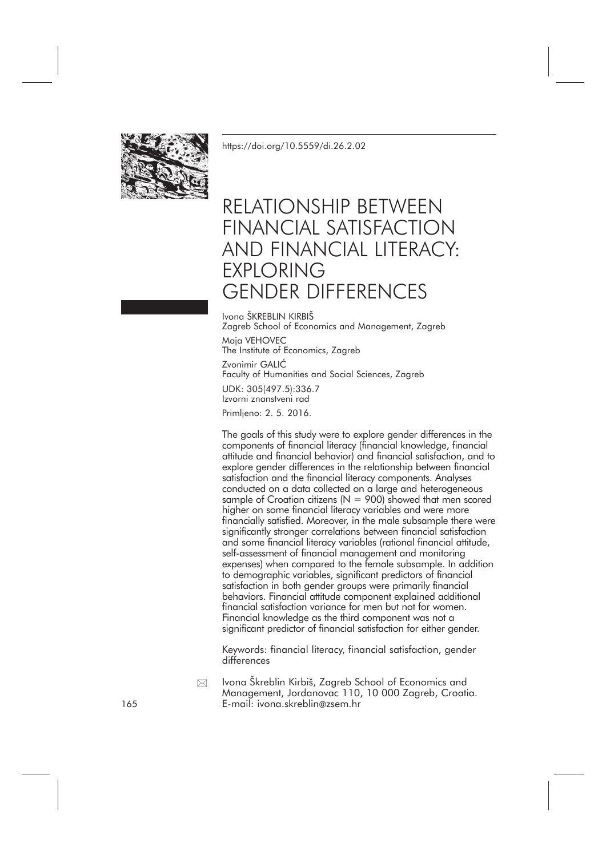

<https://doi.org/10.5559/di.26.2.02>

# RELATIONSHIP BETWEEN FINANCIAL SATISFACTION AND FINANCIAL LITERACY: EXPLORING GENDER DIFFERENCES

Ivona ŠKREBLIN KIRBIŠ Zagreb School of Economics and Management, Zagreb Maja VEHOVEC The Institute of Economics, Zagreb Zvonimir GALIĆ Faculty of Humanities and Social Sciences, Zagreb UDK: 305(497.5):336.7 Izvorni znanstveni rad Primljeno: 2. 5. 2016.

The goals of this study were to explore gender differences in the components of financial literacy (financial knowledge, financial attitude and financial behavior) and financial satisfaction, and to explore gender differences in the relationship between financial satisfaction and the financial literacy components. Analyses conducted on a data collected on a large and heterogeneous sample of Croatian citizens ( $N = 900$ ) showed that men scored higher on some financial literacy variables and were more financially satisfied. Moreover, in the male subsample there were significantly stronger correlations between financial satisfaction and some financial literacy variables (rational financial attitude, self-assessment of financial management and monitoring expenses) when compared to the female subsample. In addition to demographic variables, significant predictors of financial satisfaction in both gender groups were primarily financial behaviors. Financial attitude component explained additional financial satisfaction variance for men but not for women. Financial knowledge as the third component was not a significant predictor of financial satisfaction for either gender.

Keywords: financial literacy, financial satisfaction, gender differences

Ivona Škreblin Kirbiš, Zagreb School of Economics and Management, Jordanovac 110, 10 000 Zagreb, Croatia. 165 E-mail: ivona.skreblin@zsem.hr  $\boxtimes$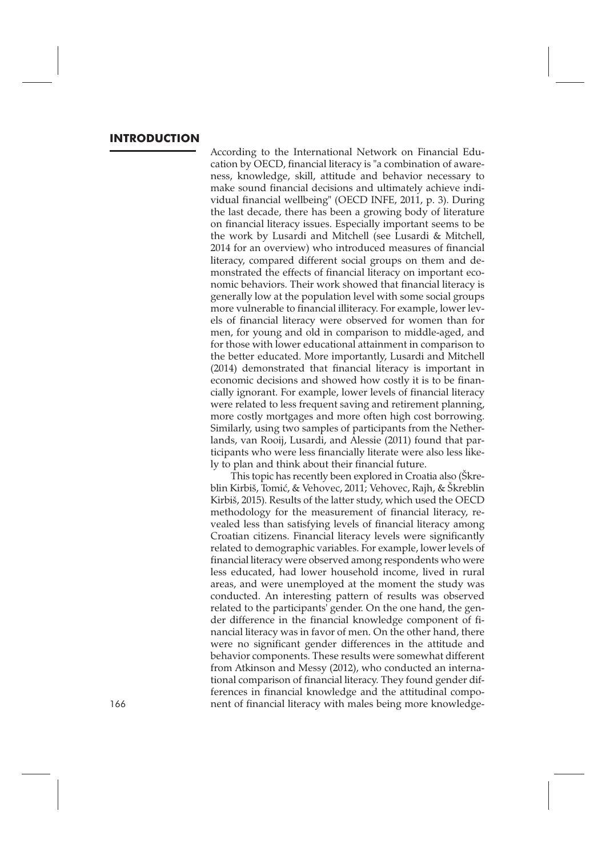### **INTRODUCTION**

According to the International Network on Financial Education by OECD, financial literacy is "a combination of awareness, knowledge, skill, attitude and behavior necessary to make sound financial decisions and ultimately achieve individual financial wellbeing" (OECD INFE, 2011, p. 3). During the last decade, there has been a growing body of literature on financial literacy issues. Especially important seems to be the work by Lusardi and Mitchell (see Lusardi & Mitchell, 2014 for an overview) who introduced measures of financial literacy, compared different social groups on them and demonstrated the effects of financial literacy on important economic behaviors. Their work showed that financial literacy is generally low at the population level with some social groups more vulnerable to financial illiteracy. For example, lower levels of financial literacy were observed for women than for men, for young and old in comparison to middle-aged, and for those with lower educational attainment in comparison to the better educated. More importantly, Lusardi and Mitchell (2014) demonstrated that financial literacy is important in economic decisions and showed how costly it is to be financially ignorant. For example, lower levels of financial literacy were related to less frequent saving and retirement planning, more costly mortgages and more often high cost borrowing. Similarly, using two samples of participants from the Netherlands, van Rooij, Lusardi, and Alessie (2011) found that participants who were less financially literate were also less likely to plan and think about their financial future.

This topic has recently been explored in Croatia also (Škreblin Kirbiš, Tomić, & Vehovec, 2011; Vehovec, Rajh, & Škreblin Kirbiš, 2015). Results of the latter study, which used the OECD methodology for the measurement of financial literacy, revealed less than satisfying levels of financial literacy among Croatian citizens. Financial literacy levels were significantly related to demographic variables. For example, lower levels of financial literacy were observed among respondents who were less educated, had lower household income, lived in rural areas, and were unemployed at the moment the study was conducted. An interesting pattern of results was observed related to the participants' gender. On the one hand, the gender difference in the financial knowledge component of financial literacy was in favor of men. On the other hand, there were no significant gender differences in the attitude and behavior components. These results were somewhat different from Atkinson and Messy (2012), who conducted an international comparison of financial literacy. They found gender differences in financial knowledge and the attitudinal compo-166 nent of financial literacy with males being more knowledge-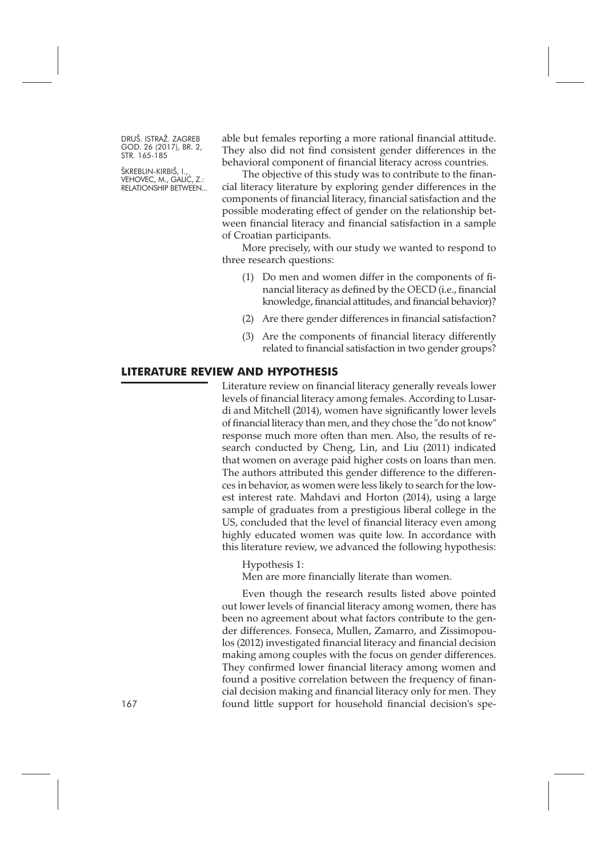ŠKREBLIN-KIRBIŠ, I., VEHOVEC, M., GALIĆ, Z.: RELATIONSHIP BETWEEN... able but females reporting a more rational financial attitude. They also did not find consistent gender differences in the behavioral component of financial literacy across countries.

The objective of this study was to contribute to the financial literacy literature by exploring gender differences in the components of financial literacy, financial satisfaction and the possible moderating effect of gender on the relationship between financial literacy and financial satisfaction in a sample of Croatian participants.

More precisely, with our study we wanted to respond to three research questions:

- (1) Do men and women differ in the components of financial literacy as defined by the OECD (i.e., financial knowledge, financial attitudes, and financial behavior)?
- (2) Are there gender differences in financial satisfaction?
- (3) Are the components of financial literacy differently related to financial satisfaction in two gender groups?

#### **LITERATURE REVIEW AND HYPOTHESIS**

Literature review on financial literacy generally reveals lower levels of financial literacy among females. According to Lusardi and Mitchell (2014), women have significantly lower levels of financial literacy than men, and they chose the "do not know" response much more often than men. Also, the results of research conducted by Cheng, Lin, and Liu (2011) indicated that women on average paid higher costs on loans than men. The authors attributed this gender difference to the differences in behavior, as women were less likely to search for the lowest interest rate. Mahdavi and Horton (2014), using a large sample of graduates from a prestigious liberal college in the US, concluded that the level of financial literacy even among highly educated women was quite low. In accordance with this literature review, we advanced the following hypothesis:

Hypothesis 1:

Men are more financially literate than women.

Even though the research results listed above pointed out lower levels of financial literacy among women, there has been no agreement about what factors contribute to the gender differences. Fonseca, Mullen, Zamarro, and Zissimopoulos (2012) investigated financial literacy and financial decision making among couples with the focus on gender differences. They confirmed lower financial literacy among women and found a positive correlation between the frequency of financial decision making and financial literacy only for men. They 167 found little support for household financial decision's spe-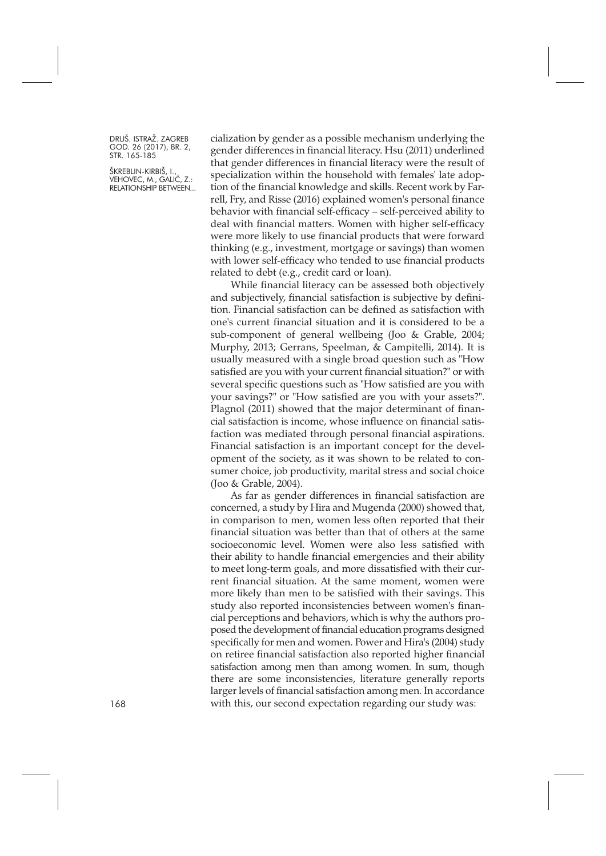ŠKREBLIN-KIRBIŠ, I., VEHOVEC, M., GALIĆ, Z.: RELATIONSHIP BETWEEN... cialization by gender as a possible mechanism underlying the gender differences in financial literacy. Hsu (2011) underlined that gender differences in financial literacy were the result of specialization within the household with females' late adoption of the financial knowledge and skills. Recent work by Farrell, Fry, and Risse (2016) explained women's personal finance behavior with financial self-efficacy – self-perceived ability to deal with financial matters. Women with higher self-efficacy were more likely to use financial products that were forward thinking (e.g., investment, mortgage or savings) than women with lower self-efficacy who tended to use financial products related to debt (e.g., credit card or loan).

While financial literacy can be assessed both objectively and subjectively, financial satisfaction is subjective by definition. Financial satisfaction can be defined as satisfaction with one's current financial situation and it is considered to be a sub-component of general wellbeing (Joo & Grable, 2004; Murphy, 2013; Gerrans, Speelman, & Campitelli, 2014). It is usually measured with a single broad question such as "How satisfied are you with your current financial situation?" or with several specific questions such as "How satisfied are you with your savings?" or "How satisfied are you with your assets?". Plagnol (2011) showed that the major determinant of financial satisfaction is income, whose influence on financial satisfaction was mediated through personal financial aspirations. Financial satisfaction is an important concept for the development of the society, as it was shown to be related to consumer choice, job productivity, marital stress and social choice (Joo & Grable, 2004).

As far as gender differences in financial satisfaction are concerned, a study by Hira and Mugenda (2000) showed that, in comparison to men, women less often reported that their financial situation was better than that of others at the same socioeconomic level. Women were also less satisfied with their ability to handle financial emergencies and their ability to meet long-term goals, and more dissatisfied with their current financial situation. At the same moment, women were more likely than men to be satisfied with their savings. This study also reported inconsistencies between women's financial perceptions and behaviors, which is why the authors proposed the development of financial education programs designed specifically for men and women. Power and Hira's (2004) study on retiree financial satisfaction also reported higher financial satisfaction among men than among women. In sum, though there are some inconsistencies, literature generally reports larger levels of financial satisfaction among men. In accordance with this, our second expectation regarding our study was: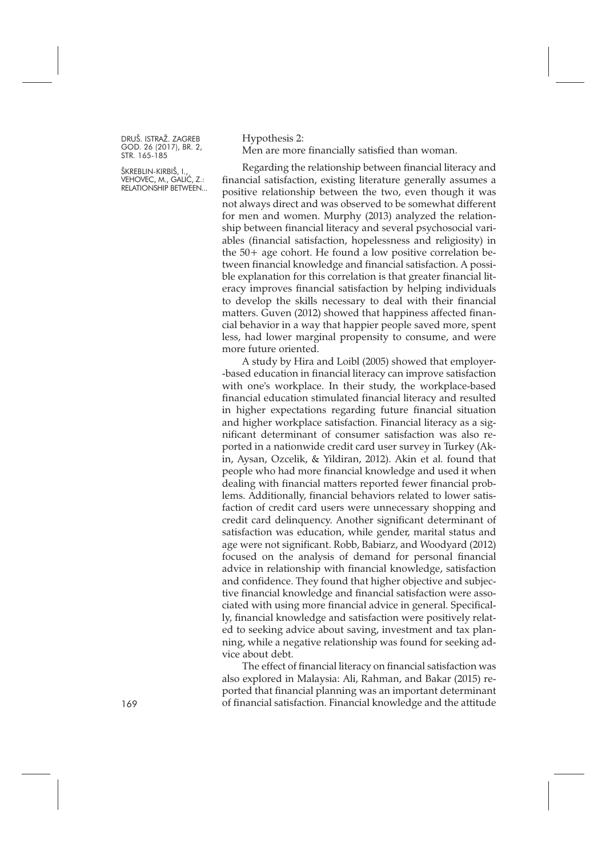ŠKREBLIN-KIRBIŠ, I., VEHOVEC, M., GALIĆ, Z.: RELATIONSHIP BETWEEN... Hypothesis 2: Men are more financially satisfied than woman.

Regarding the relationship between financial literacy and financial satisfaction, existing literature generally assumes a positive relationship between the two, even though it was not always direct and was observed to be somewhat different for men and women. Murphy (2013) analyzed the relationship between financial literacy and several psychosocial variables (financial satisfaction, hopelessness and religiosity) in the 50+ age cohort. He found a low positive correlation between financial knowledge and financial satisfaction. A possible explanation for this correlation is that greater financial literacy improves financial satisfaction by helping individuals to develop the skills necessary to deal with their financial matters. Guven (2012) showed that happiness affected financial behavior in a way that happier people saved more, spent less, had lower marginal propensity to consume, and were more future oriented.

A study by Hira and Loibl (2005) showed that employer- -based education in financial literacy can improve satisfaction with one's workplace. In their study, the workplace-based financial education stimulated financial literacy and resulted in higher expectations regarding future financial situation and higher workplace satisfaction. Financial literacy as a significant determinant of consumer satisfaction was also reported in a nationwide credit card user survey in Turkey (Akin, Aysan, Ozcelik, & Yildiran, 2012). Akin et al. found that people who had more financial knowledge and used it when dealing with financial matters reported fewer financial problems. Additionally, financial behaviors related to lower satisfaction of credit card users were unnecessary shopping and credit card delinquency. Another significant determinant of satisfaction was education, while gender, marital status and age were not significant. Robb, Babiarz, and Woodyard (2012) focused on the analysis of demand for personal financial advice in relationship with financial knowledge, satisfaction and confidence. They found that higher objective and subjective financial knowledge and financial satisfaction were associated with using more financial advice in general. Specifically, financial knowledge and satisfaction were positively related to seeking advice about saving, investment and tax planning, while a negative relationship was found for seeking advice about debt.

The effect of financial literacy on financial satisfaction was also explored in Malaysia: Ali, Rahman, and Bakar (2015) reported that financial planning was an important determinant 169 of financial satisfaction. Financial knowledge and the attitude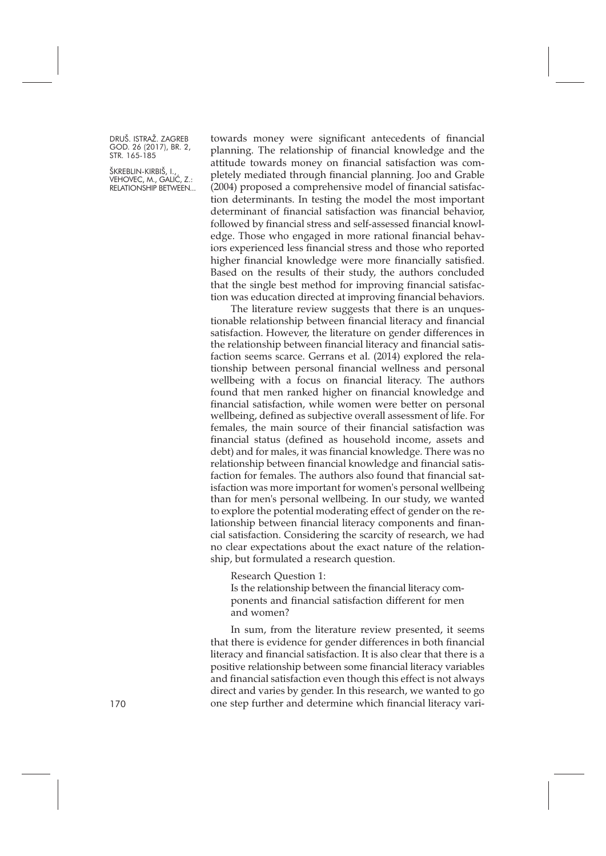ŠKREBLIN-KIRBIŠ, I., VEHOVEC, M., GALIĆ, Z.: RELATIONSHIP BETWEEN... towards money were significant antecedents of financial planning. The relationship of financial knowledge and the attitude towards money on financial satisfaction was completely mediated through financial planning. Joo and Grable (2004) proposed a comprehensive model of financial satisfaction determinants. In testing the model the most important determinant of financial satisfaction was financial behavior, followed by financial stress and self-assessed financial knowledge. Those who engaged in more rational financial behaviors experienced less financial stress and those who reported higher financial knowledge were more financially satisfied. Based on the results of their study, the authors concluded that the single best method for improving financial satisfaction was education directed at improving financial behaviors.

The literature review suggests that there is an unquestionable relationship between financial literacy and financial satisfaction. However, the literature on gender differences in the relationship between financial literacy and financial satisfaction seems scarce. Gerrans et al. (2014) explored the relationship between personal financial wellness and personal wellbeing with a focus on financial literacy. The authors found that men ranked higher on financial knowledge and financial satisfaction, while women were better on personal wellbeing, defined as subjective overall assessment of life. For females, the main source of their financial satisfaction was financial status (defined as household income, assets and debt) and for males, it was financial knowledge. There was no relationship between financial knowledge and financial satisfaction for females. The authors also found that financial satisfaction was more important for women's personal wellbeing than for men's personal wellbeing. In our study, we wanted to explore the potential moderating effect of gender on the relationship between financial literacy components and financial satisfaction. Considering the scarcity of research, we had no clear expectations about the exact nature of the relationship, but formulated a research question.

Research Question 1:

Is the relationship between the financial literacy components and financial satisfaction different for men and women?

In sum, from the literature review presented, it seems that there is evidence for gender differences in both financial literacy and financial satisfaction. It is also clear that there is a positive relationship between some financial literacy variables and financial satisfaction even though this effect is not always direct and varies by gender. In this research, we wanted to go one step further and determine which financial literacy vari-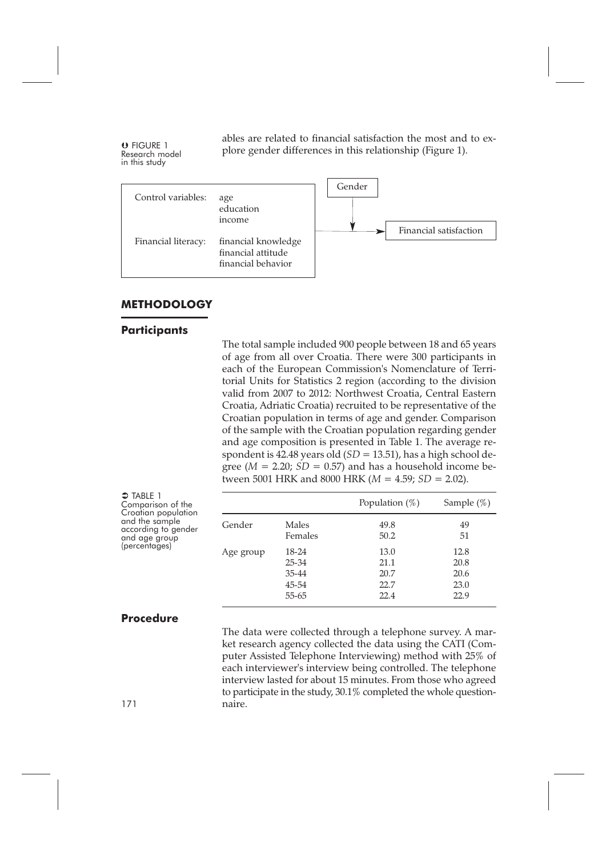ables are related to financial satisfaction the most and to explore gender differences in this relationship (Figure 1). O FIGURE 1 Research model in this study



#### **METHODOLOGY**

#### **Participants**

The total sample included 900 people between 18 and 65 years of age from all over Croatia. There were 300 participants in each of the European Commission's Nomenclature of Territorial Units for Statistics 2 region (according to the division valid from 2007 to 2012: Northwest Croatia, Central Eastern Croatia, Adriatic Croatia) recruited to be representative of the Croatian population in terms of age and gender. Comparison of the sample with the Croatian population regarding gender and age composition is presented in Table 1. The average respondent is 42.48 years old (*SD* = 13.51), has a high school degree ( $M = 2.20$ ;  $SD = 0.57$ ) and has a household income between 5001 HRK and 8000 HRK (*M* = 4.59; *SD* = 2.02).

| $\supset$ TABLE 1<br>Comparison of the                                        |           |                                           | Population $(\%)$                    | Sample $(\%)$                        |
|-------------------------------------------------------------------------------|-----------|-------------------------------------------|--------------------------------------|--------------------------------------|
| Croatian population<br>and the sample<br>according to gender<br>and age group | Gender    | Males<br>Females                          | 49.8<br>50.2                         | 49<br>51                             |
| (percentages)                                                                 | Age group | 18-24<br>25-34<br>35-44<br>45-54<br>55-65 | 13.0<br>21.1<br>20.7<br>22.7<br>22.4 | 12.8<br>20.8<br>20.6<br>23.0<br>22.9 |

#### **Procedure**

The data were collected through a telephone survey. A market research agency collected the data using the CATI (Computer Assisted Telephone Interviewing) method with 25% of each interviewer's interview being controlled. The telephone interview lasted for about 15 minutes. From those who agreed to participate in the study, 30.1% completed the whole question-171 naire.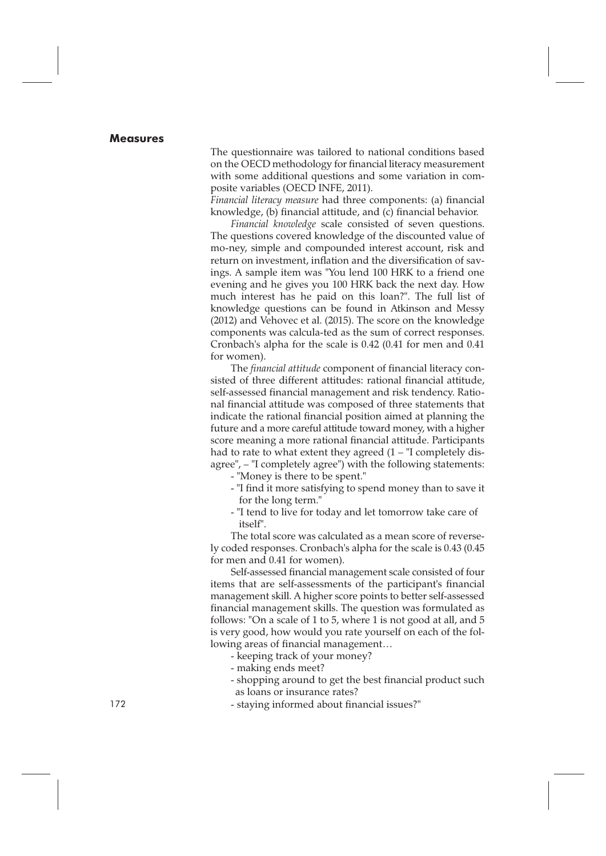#### **Measures**

The questionnaire was tailored to national conditions based on the OECD methodology for financial literacy measurement with some additional questions and some variation in composite variables (OECD INFE, 2011).

*Financial literacy measure* had three components: (a) financial knowledge, (b) financial attitude, and (c) financial behavior.

*Financial knowledge* scale consisted of seven questions. The questions covered knowledge of the discounted value of mo-ney, simple and compounded interest account, risk and return on investment, inflation and the diversification of savings. A sample item was "You lend 100 HRK to a friend one evening and he gives you 100 HRK back the next day. How much interest has he paid on this loan?". The full list of knowledge questions can be found in Atkinson and Messy (2012) and Vehovec et al. (2015). The score on the knowledge components was calcula-ted as the sum of correct responses. Cronbach's alpha for the scale is 0.42 (0.41 for men and 0.41 for women).

The *financial attitude* component of financial literacy consisted of three different attitudes: rational financial attitude, self-assessed financial management and risk tendency. Rational financial attitude was composed of three statements that indicate the rational financial position aimed at planning the future and a more careful attitude toward money, with a higher score meaning a more rational financial attitude. Participants had to rate to what extent they agreed  $(1 -$ "I completely disagree", – "I completely agree") with the following statements:

- "Money is there to be spent."
- "I find it more satisfying to spend money than to save it for the long term."
- "I tend to live for today and let tomorrow take care of itself".

The total score was calculated as a mean score of reversely coded responses. Cronbach's alpha for the scale is 0.43 (0.45 for men and 0.41 for women).

Self-assessed financial management scale consisted of four items that are self-assessments of the participant's financial management skill. A higher score points to better self-assessed financial management skills. The question was formulated as follows: "On a scale of 1 to 5, where 1 is not good at all, and 5 is very good, how would you rate yourself on each of the following areas of financial management…

- keeping track of your money?

- making ends meet?
- shopping around to get the best financial product such as loans or insurance rates?
- 172 staying informed about financial issues?"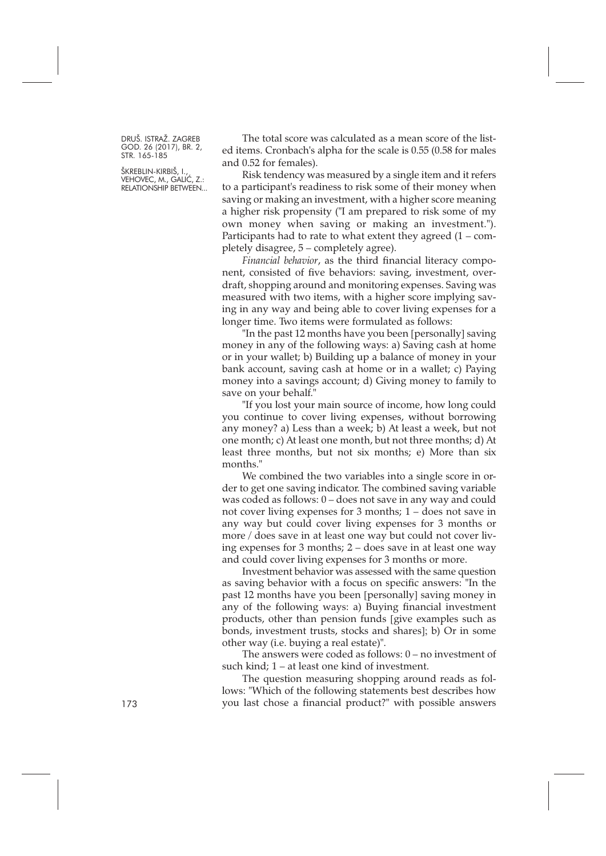ŠKREBLIN-KIRBIŠ, I., VEHOVEC, M., GALIĆ, Z.: RELATIONSHIP BETWEEN...

The total score was calculated as a mean score of the listed items. Cronbach's alpha for the scale is 0.55 (0.58 for males and 0.52 for females).

Risk tendency was measured by a single item and it refers to a participant's readiness to risk some of their money when saving or making an investment, with a higher score meaning a higher risk propensity ("I am prepared to risk some of my own money when saving or making an investment."). Participants had to rate to what extent they agreed  $(1 - com$ pletely disagree, 5 – completely agree).

*Financial behavior*, as the third financial literacy component, consisted of five behaviors: saving, investment, overdraft, shopping around and monitoring expenses. Saving was measured with two items, with a higher score implying saving in any way and being able to cover living expenses for a longer time. Two items were formulated as follows:

"In the past 12 months have you been [personally] saving money in any of the following ways: a) Saving cash at home or in your wallet; b) Building up a balance of money in your bank account, saving cash at home or in a wallet; c) Paying money into a savings account; d) Giving money to family to save on your behalf.

"If you lost your main source of income, how long could you continue to cover living expenses, without borrowing any money? a) Less than a week; b) At least a week, but not one month; c) At least one month, but not three months; d) At least three months, but not six months; e) More than six months."

We combined the two variables into a single score in order to get one saving indicator. The combined saving variable was coded as follows: 0 – does not save in any way and could not cover living expenses for 3 months; 1 – does not save in any way but could cover living expenses for 3 months or more / does save in at least one way but could not cover living expenses for 3 months; 2 – does save in at least one way and could cover living expenses for 3 months or more.

Investment behavior was assessed with the same question as saving behavior with a focus on specific answers: "In the past 12 months have you been [personally] saving money in any of the following ways: a) Buying financial investment products, other than pension funds [give examples such as bonds, investment trusts, stocks and shares]; b) Or in some other way (i.e. buying a real estate)".

The answers were coded as follows: 0 – no investment of such kind; 1 – at least one kind of investment.

The question measuring shopping around reads as follows: "Which of the following statements best describes how 173 you last chose a financial product?" with possible answers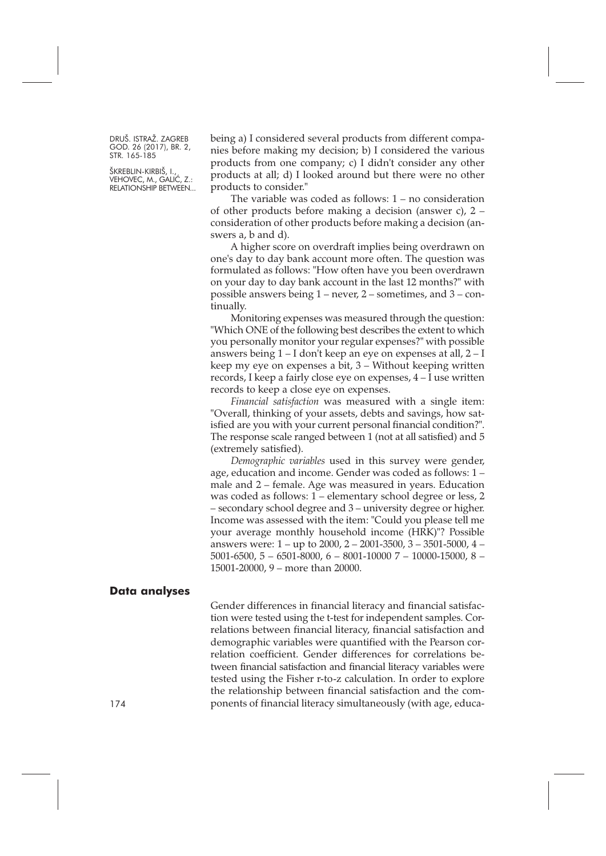ŠKREBLIN-KIRBIŠ, I., VEHOVEC, M., GALIĆ, Z.: RELATIONSHIP BETWEEN... being a) I considered several products from different companies before making my decision; b) I considered the various products from one company; c) I didn't consider any other products at all; d) I looked around but there were no other products to consider."

The variable was coded as follows: 1 – no consideration of other products before making a decision (answer c), 2 – consideration of other products before making a decision (answers a, b and d).

A higher score on overdraft implies being overdrawn on one's day to day bank account more often. The question was formulated as follows: "How often have you been overdrawn on your day to day bank account in the last 12 months?" with possible answers being 1 – never, 2 – sometimes, and 3 – continually.

Monitoring expenses was measured through the question: "Which ONE of the following best describes the extent to which you personally monitor your regular expenses?" with possible answers being 1 – I don't keep an eye on expenses at all, 2 – I keep my eye on expenses a bit, 3 – Without keeping written records, I keep a fairly close eye on expenses, 4 – I use written records to keep a close eye on expenses.

*Financial satisfaction* was measured with a single item: "Overall, thinking of your assets, debts and savings, how satisfied are you with your current personal financial condition?". The response scale ranged between 1 (not at all satisfied) and 5 (extremely satisfied).

*Demographic variables* used in this survey were gender, age, education and income. Gender was coded as follows: 1 – male and 2 – female. Age was measured in years. Education was coded as follows: 1 – elementary school degree or less, 2 – secondary school degree and 3 – university degree or higher. Income was assessed with the item: "Could you please tell me your average monthly household income (HRK)"? Possible answers were: 1 – up to 2000, 2 – 2001-3500, 3 – 3501-5000, 4 – 5001-6500, 5 – 6501-8000, 6 – 8001-10000 7 – 10000-15000, 8 – 15001-20000, 9 – more than 20000.

#### **Data analyses**

Gender differences in financial literacy and financial satisfaction were tested using the t-test for independent samples. Correlations between financial literacy, financial satisfaction and demographic variables were quantified with the Pearson correlation coefficient. Gender differences for correlations between financial satisfaction and financial literacy variables were tested using the Fisher r-to-z calculation. In order to explore the relationship between financial satisfaction and the components of financial literacy simultaneously (with age, educa-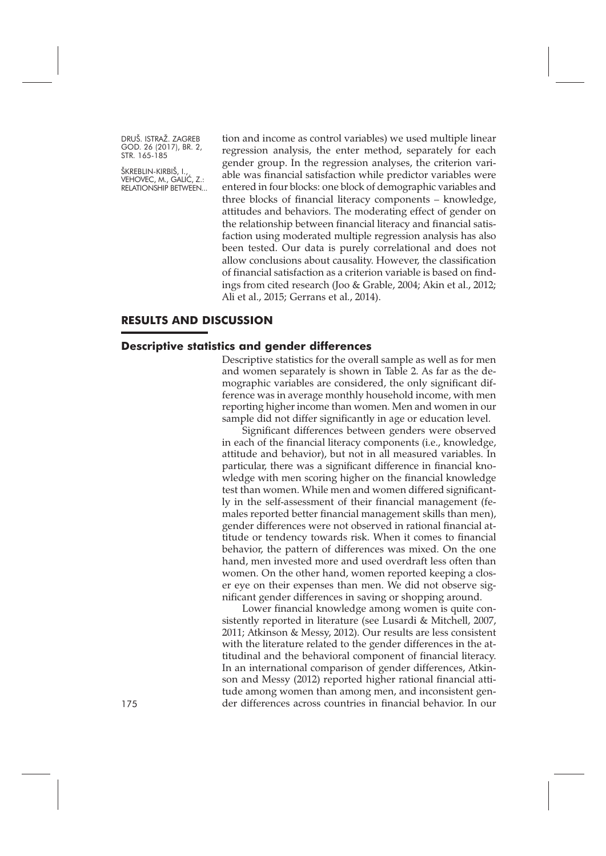ŠKREBLIN-KIRBIŠ, I., VEHOVEC, M., GALIĆ, Z.: RELATIONSHIP BETWEEN... tion and income as control variables) we used multiple linear regression analysis, the enter method, separately for each gender group. In the regression analyses, the criterion variable was financial satisfaction while predictor variables were entered in four blocks: one block of demographic variables and three blocks of financial literacy components – knowledge, attitudes and behaviors. The moderating effect of gender on the relationship between financial literacy and financial satisfaction using moderated multiple regression analysis has also been tested. Our data is purely correlational and does not allow conclusions about causality. However, the classification of financial satisfaction as a criterion variable is based on findings from cited research (Joo & Grable, 2004; Akin et al., 2012; Ali et al., 2015; Gerrans et al., 2014).

# **RESULTS AND DISCUSSION**

#### **Descriptive statistics and gender differences**

Descriptive statistics for the overall sample as well as for men and women separately is shown in Table 2. As far as the demographic variables are considered, the only significant difference was in average monthly household income, with men reporting higher income than women. Men and women in our sample did not differ significantly in age or education level.

Significant differences between genders were observed in each of the financial literacy components (i.e., knowledge, attitude and behavior), but not in all measured variables. In particular, there was a significant difference in financial knowledge with men scoring higher on the financial knowledge test than women. While men and women differed significantly in the self-assessment of their financial management (females reported better financial management skills than men), gender differences were not observed in rational financial attitude or tendency towards risk. When it comes to financial behavior, the pattern of differences was mixed. On the one hand, men invested more and used overdraft less often than women. On the other hand, women reported keeping a closer eye on their expenses than men. We did not observe significant gender differences in saving or shopping around.

Lower financial knowledge among women is quite consistently reported in literature (see Lusardi & Mitchell, 2007, 2011; Atkinson & Messy, 2012). Our results are less consistent with the literature related to the gender differences in the attitudinal and the behavioral component of financial literacy. In an international comparison of gender differences, Atkinson and Messy (2012) reported higher rational financial attitude among women than among men, and inconsistent gen-175 der differences across countries in financial behavior. In our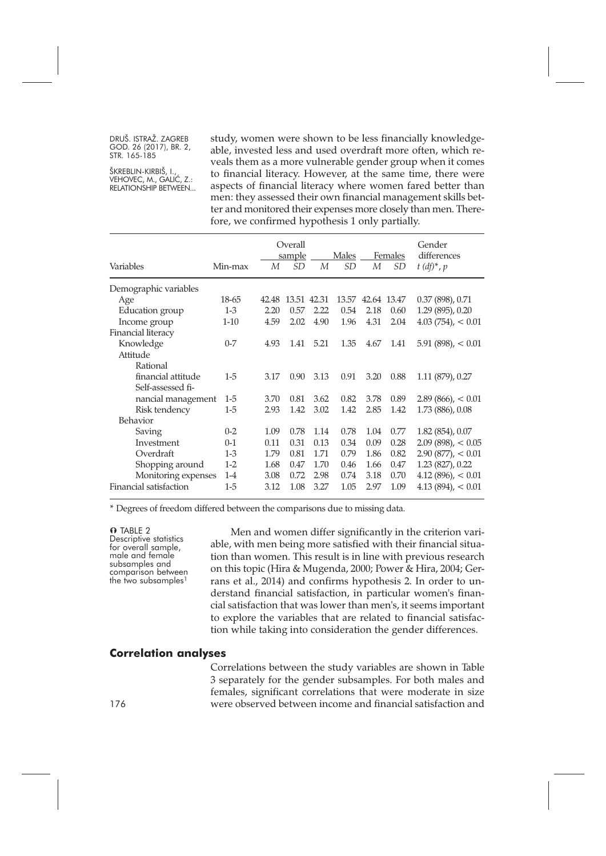ŠKREBLIN-KIRBIŠ, I., VEHOVEC, M., GALIĆ, Z.: RELATIONSHIP BETWEEN... study, women were shown to be less financially knowledgeable, invested less and used overdraft more often, which reveals them as a more vulnerable gender group when it comes to financial literacy. However, at the same time, there were aspects of financial literacy where women fared better than men: they assessed their own financial management skills better and monitored their expenses more closely than men. Therefore, we confirmed hypothesis 1 only partially.

| Variables              | Min-max | М     | Overall<br>sample<br>SD | M    | Males<br><i>SD</i> | М           | Females<br>SD | Gender<br>differences<br>$t$ (df)*, p |
|------------------------|---------|-------|-------------------------|------|--------------------|-------------|---------------|---------------------------------------|
| Demographic variables  |         |       |                         |      |                    |             |               |                                       |
| Age                    | 18-65   | 42.48 | 13.51 42.31             |      | 13.57              | 42.64 13.47 |               | 0.37(898), 0.71                       |
| Education group        | $1-3$   | 2.20  | 0.57                    | 2.22 | 0.54               | 2.18        | 0.60          | 1.29 (895), 0.20                      |
| Income group           | $1-10$  | 4.59  | 2.02                    | 4.90 | 1.96               | 4.31        | 2.04          | $4.03(754)$ , < 0.01                  |
| Financial literacy     |         |       |                         |      |                    |             |               |                                       |
| Knowledge              | $0 - 7$ | 4.93  | 1.41                    | 5.21 | 1.35               | 4.67        | 1.41          | $5.91(898)$ , < $0.01$                |
| Attitude               |         |       |                         |      |                    |             |               |                                       |
| Rational               |         |       |                         |      |                    |             |               |                                       |
| financial attitude     | 1-5     | 3.17  | 0.90                    | 3.13 | 0.91               | 3.20        | 0.88          | $1.11(879)$ , 0.27                    |
| Self-assessed fi-      |         |       |                         |      |                    |             |               |                                       |
| nancial management     | $1-5$   | 3.70  | 0.81                    | 3.62 | 0.82               | 3.78        | 0.89          | $2.89(866)$ , < $0.01$                |
| Risk tendency          | $1-5$   | 2.93  | 1.42                    | 3.02 | 1.42               | 2.85        | 1.42          | 1.73 (886), 0.08                      |
| <b>Behavior</b>        |         |       |                         |      |                    |             |               |                                       |
| Saving                 | $0 - 2$ | 1.09  | 0.78                    | 1.14 | 0.78               | 1.04        | 0.77          | $1.82(854)$ , 0.07                    |
| Investment             | $0 - 1$ | 0.11  | 0.31                    | 0.13 | 0.34               | 0.09        | 0.28          | $2.09(898)$ , < $0.05$                |
| Overdraft              | $1 - 3$ | 1.79  | 0.81                    | 1.71 | 0.79               | 1.86        | 0.82          | $2.90(877)$ , < 0.01                  |
| Shopping around        | $1-2$   | 1.68  | 0.47                    | 1.70 | 0.46               | 1.66        | 0.47          | 1.23 (827), 0.22                      |
| Monitoring expenses    | $1 - 4$ | 3.08  | 0.72                    | 2.98 | 0.74               | 3.18        | 0.70          | $4.12(896)$ , < $0.01$                |
| Financial satisfaction | $1-5$   | 3.12  | 1.08                    | 3.27 | 1.05               | 2.97        | 1.09          | $4.13(894)$ , < $0.01$                |

\* Degrees of freedom differed between the comparisons due to missing data.

**O** TABLE 2<br>Descriptive statistics for overall sample,<br>male and female<br>subsamples and<br>comparison between<br>the two subsamples<sup>1</sup>

Men and women differ significantly in the criterion variable, with men being more satisfied with their financial situation than women. This result is in line with previous research on this topic (Hira & Mugenda, 2000; Power & Hira, 2004; Gerrans et al., 2014) and confirms hypothesis 2. In order to understand financial satisfaction, in particular women's financial satisfaction that was lower than men's, it seems important to explore the variables that are related to financial satisfaction while taking into consideration the gender differences.

#### **Correlation analyses**

Correlations between the study variables are shown in Table 3 separately for the gender subsamples. For both males and females, significant correlations that were moderate in size were observed between income and financial satisfaction and

176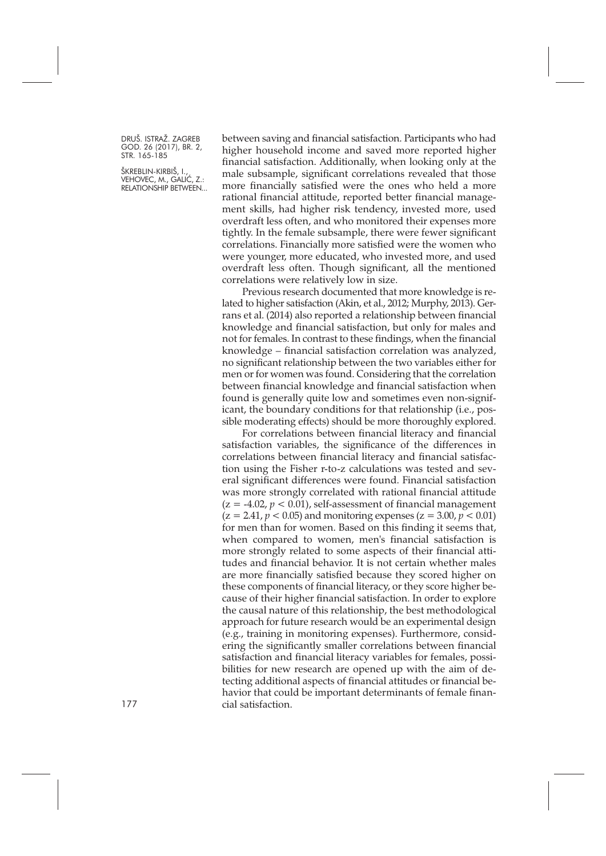ŠKREBLIN-KIRBIŠ, I., VEHOVEC, M., GALIĆ, Z.: RELATIONSHIP BETWEEN... between saving and financial satisfaction. Participants who had higher household income and saved more reported higher financial satisfaction. Additionally, when looking only at the male subsample, significant correlations revealed that those more financially satisfied were the ones who held a more rational financial attitude, reported better financial management skills, had higher risk tendency, invested more, used overdraft less often, and who monitored their expenses more tightly. In the female subsample, there were fewer significant correlations. Financially more satisfied were the women who were younger, more educated, who invested more, and used overdraft less often. Though significant, all the mentioned correlations were relatively low in size.

Previous research documented that more knowledge is related to higher satisfaction (Akin, et al., 2012; Murphy, 2013). Gerrans et al. (2014) also reported a relationship between financial knowledge and financial satisfaction, but only for males and not for females. In contrast to these findings, when the financial knowledge – financial satisfaction correlation was analyzed, no significant relationship between the two variables either for men or for women was found. Considering that the correlation between financial knowledge and financial satisfaction when found is generally quite low and sometimes even non-significant, the boundary conditions for that relationship (i.e., possible moderating effects) should be more thoroughly explored.

For correlations between financial literacy and financial satisfaction variables, the significance of the differences in correlations between financial literacy and financial satisfaction using the Fisher r-to-z calculations was tested and several significant differences were found. Financial satisfaction was more strongly correlated with rational financial attitude  $(z = -4.02, p < 0.01)$ , self-assessment of financial management  $(z = 2.41, p < 0.05)$  and monitoring expenses  $(z = 3.00, p < 0.01)$ for men than for women. Based on this finding it seems that, when compared to women, men's financial satisfaction is more strongly related to some aspects of their financial attitudes and financial behavior. It is not certain whether males are more financially satisfied because they scored higher on these components of financial literacy, or they score higher because of their higher financial satisfaction. In order to explore the causal nature of this relationship, the best methodological approach for future research would be an experimental design (e.g., training in monitoring expenses). Furthermore, considering the significantly smaller correlations between financial satisfaction and financial literacy variables for females, possibilities for new research are opened up with the aim of detecting additional aspects of financial attitudes or financial behavior that could be important determinants of female finan-177 cial satisfaction.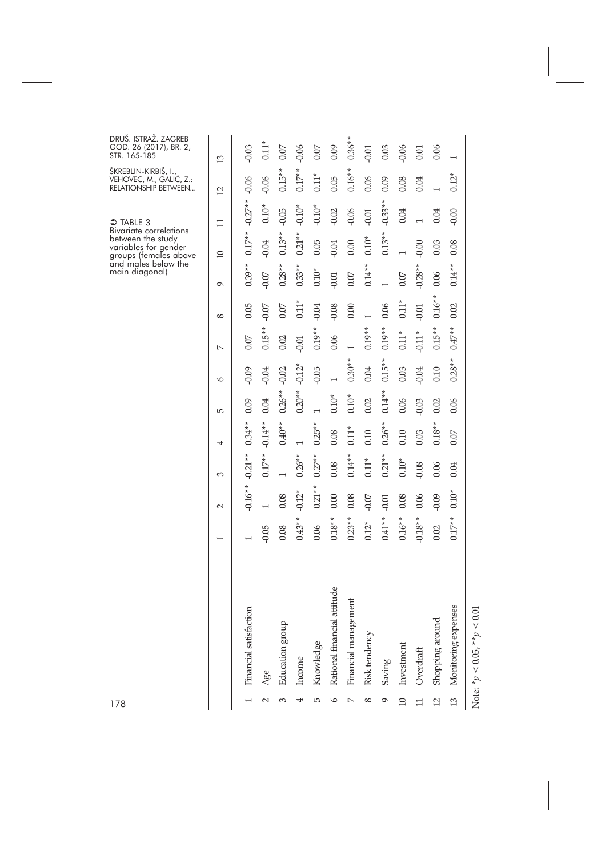| 178             |                                   |                |                          |           |           |          |          |                |            | and males below the<br>main diagonal) | Bivariate correlations<br>between the study<br>variables for gender<br>groups (females above | <b>→ TABLE 3</b> | ŠKREBLIN-KIRBIŠ, I.,<br>VEHOVEC, M., GALIĆ, Z.:<br>RELATIONSHIP BETWEEN | DRUŠ. ISTRAŽ. ZAGREB<br>GOD. 26 (2017), BR. 2,<br>STR. 165-185 |
|-----------------|-----------------------------------|----------------|--------------------------|-----------|-----------|----------|----------|----------------|------------|---------------------------------------|----------------------------------------------------------------------------------------------|------------------|-------------------------------------------------------------------------|----------------------------------------------------------------|
|                 |                                   |                |                          |           |           |          |          |                |            |                                       |                                                                                              |                  |                                                                         |                                                                |
|                 |                                   | $\overline{ }$ | $\sim$                   | 3         | 4         | S        | $\circ$  | $\overline{ }$ | $^{\circ}$ | $\sigma$                              | 10                                                                                           | $\Box$           | $\overline{12}$                                                         | 13                                                             |
|                 | Financial satisfaction            |                | $-0.16**$                | $-0.21**$ | $0.34**$  | 0.09     | $-0.09$  | 0.07           | 0.05       | $0.39**$                              | $0.17**$                                                                                     | $-0.27**$        | $-0.06$                                                                 | $-0.03$                                                        |
| N               | Age                               | $-0.05$        | $\overline{\phantom{0}}$ | $0.17**$  | $-0.14**$ | 0.04     | $-0.04$  | $0.15***$      | $-0.07$    | $-0.07$                               | $-0.04$                                                                                      | $0.10*$          | $-0.06$                                                                 | $0.11$ <sup><math>\cdot</math></sup>                           |
| 3               | Education group                   | 0.08           | 0.08                     |           | $0.40**$  | $0.26**$ | $-0.02$  | 0.02           | 0.07       | $0.28**$                              | $0.13**$                                                                                     | $-0.05$          | $0.15**$                                                                | 0.07                                                           |
| 4               | Income                            | $0.43**$       | $-0.12*$                 | $0.26*$   |           | $0.20**$ | $-0.12*$ | $-0.01$        | 0.11       | *<br>$0.33**$                         | $0.21**$                                                                                     | $-0.10*$         | $0.17**$                                                                | $-0.06$                                                        |
| 5               | Knowledge                         | 0.06           | $0.21**$                 | $0.27*$   | $0.25*$   |          | $-0.05$  | $0.19**$       | $-0.04$    | $0.10*$                               | 0.05                                                                                         | $-0.10*$         | $0.11*$                                                                 | 0.07                                                           |
| $\circ$         | Rational financial attitude       | $0.18**$       | 0.00                     | 0.08      | 0.08      | $0.10*$  |          | 0.06           | $-0.08$    | $-0.01$                               | $-0.04$                                                                                      | $-0.02$          | $0.05\,$                                                                | 0.09                                                           |
| $\sim$          | Financial management              | $0.23**$       | 0.08                     | $0.14*$   | $0.11*$   | $0.10*$  | $0.30**$ | $\overline{ }$ | 0.00       | $0.07\,$                              | 0.00                                                                                         | $-0.06$          | $0.16**$                                                                | $0.36**$                                                       |
| $^{\circ}$      | Risk tendency                     | $0.12*$        | $-0.07$                  | $0.11*$   | 0.10      | 0.02     | 0.04     | $0.19**$       |            | $0.14**$                              | $0.10*$                                                                                      | $-0.01$          | 0.06                                                                    | $-0.01$                                                        |
| Ó               | Saving                            | $0.41**$       | $-0.01$                  | $0.21**$  | $0.26**$  | $0.14**$ | $0.15**$ | $0.19**$       | 0.06       |                                       | $0.13**$                                                                                     | $-0.33**$        | 0.09                                                                    | 0.03                                                           |
| $\Box$          | Investment                        | $0.16**$       | 0.08                     | $0.10*$   | 0.10      | 0.06     | 0.03     | $0.11*$        | $0.11*$    | 0.07                                  |                                                                                              | 0.04             | 0.08                                                                    | $-0.06$                                                        |
| $\Box$          | Overdraft                         | $-0.18**$      | 0.06                     | $-0.08$   | 0.03      | $-0.03$  | $-0.04$  | $-0.11*$       | $-0.01$    | $-0.28**$                             | $-0.00$                                                                                      |                  | 0.04                                                                    | 0.01                                                           |
| $\overline{c}$  | Shopping around                   | 0.02           | $-0.09$                  | 0.06      | $0.18*$   | 0.02     | 0.10     | $0.15***$      | $0.16**$   | 0.06                                  | 0.03                                                                                         | 0.04             |                                                                         | 0.06                                                           |
| $\overline{13}$ | Monitoring expenses               | $0.17**$       | $0.10*$                  | 0.04      | 0.07      | 0.06     | $0.28**$ | $0.47**$       | 0.02       | $0.14**$                              | 0.08                                                                                         | $-0.00$          | $0.12*$                                                                 | $\overline{ }$                                                 |
|                 | Note: $* p < 0.05$ , $* p < 0.01$ |                |                          |           |           |          |          |                |            |                                       |                                                                                              |                  |                                                                         |                                                                |

1 7 8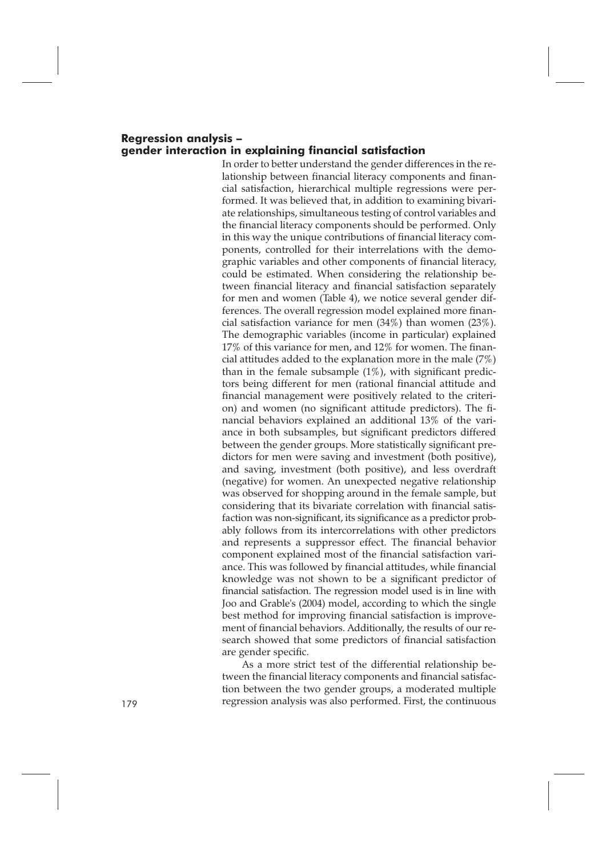#### **Regression analysis – gender interaction in explaining financial satisfaction**

In order to better understand the gender differences in the relationship between financial literacy components and financial satisfaction, hierarchical multiple regressions were performed. It was believed that, in addition to examining bivariate relationships, simultaneous testing of control variables and the financial literacy components should be performed. Only in this way the unique contributions of financial literacy components, controlled for their interrelations with the demographic variables and other components of financial literacy, could be estimated. When considering the relationship between financial literacy and financial satisfaction separately for men and women (Table 4), we notice several gender differences. The overall regression model explained more financial satisfaction variance for men  $(34%)$  than women  $(23%)$ . The demographic variables (income in particular) explained 17% of this variance for men, and 12% for women. The financial attitudes added to the explanation more in the male (7%) than in the female subsample (1%), with significant predictors being different for men (rational financial attitude and financial management were positively related to the criterion) and women (no significant attitude predictors). The financial behaviors explained an additional 13% of the variance in both subsamples, but significant predictors differed between the gender groups. More statistically significant predictors for men were saving and investment (both positive), and saving, investment (both positive), and less overdraft (negative) for women. An unexpected negative relationship was observed for shopping around in the female sample, but considering that its bivariate correlation with financial satisfaction was non-significant, its significance as a predictor probably follows from its intercorrelations with other predictors and represents a suppressor effect. The financial behavior component explained most of the financial satisfaction variance. This was followed by financial attitudes, while financial knowledge was not shown to be a significant predictor of financial satisfaction. The regression model used is in line with Joo and Grable's (2004) model, according to which the single best method for improving financial satisfaction is improvement of financial behaviors. Additionally, the results of our research showed that some predictors of financial satisfaction are gender specific.

As a more strict test of the differential relationship between the financial literacy components and financial satisfaction between the two gender groups, a moderated multiple regression analysis was also performed. First, the continuous 179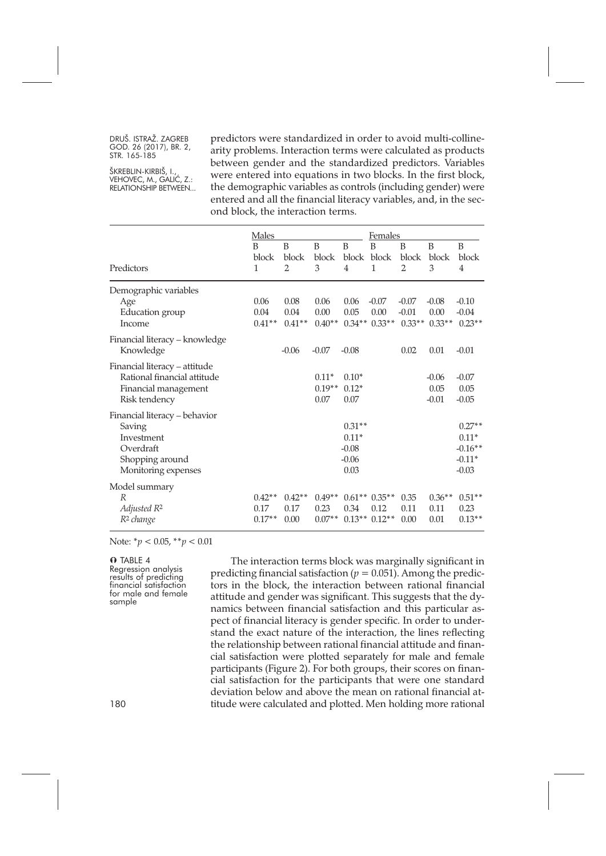ŠKREBLIN-KIRBIŠ, I., VEHOVEC, M., GALIĆ, Z.: RELATIONSHIP BETWEEN... predictors were standardized in order to avoid multi-collinearity problems. Interaction terms were calculated as products between gender and the standardized predictors. Variables were entered into equations in two blocks. In the first block, the demographic variables as controls (including gender) were entered and all the financial literacy variables, and, in the second block, the interaction terms.

|                                | Males    |                |          |          | Females        |                |          |                |
|--------------------------------|----------|----------------|----------|----------|----------------|----------------|----------|----------------|
|                                | B        | B              | B        | B        | B              | B              | B        | B              |
|                                | block    | block          | block    | block    | block          | block          | block    | block          |
| Predictors                     | 1        | $\overline{2}$ | 3        | 4        | $\mathbf{1}$   | $\overline{2}$ | 3        | $\overline{4}$ |
| Demographic variables          |          |                |          |          |                |                |          |                |
| Age                            | 0.06     | 0.08           | 0.06     | 0.06     | $-0.07$        | $-0.07$        | $-0.08$  | $-0.10$        |
| Education group                | 0.04     | 0.04           | 0.00     | 0.05     | 0.00           | $-0.01$        | 0.00     | $-0.04$        |
| Income                         | $0.41**$ | $0.41**$       | $0.40**$ |          | $0.34**0.33**$ | $0.33**$       | $0.33**$ | $0.23**$       |
| Financial literacy - knowledge |          |                |          |          |                |                |          |                |
| Knowledge                      |          | $-0.06$        | $-0.07$  | $-0.08$  |                | 0.02           | 0.01     | $-0.01$        |
| Financial literacy - attitude  |          |                |          |          |                |                |          |                |
| Rational financial attitude    |          |                | $0.11*$  | $0.10*$  |                |                | $-0.06$  | $-0.07$        |
| Financial management           |          |                | $0.19**$ | $0.12*$  |                |                | 0.05     | 0.05           |
| Risk tendency                  |          |                | 0.07     | 0.07     |                |                | $-0.01$  | $-0.05$        |
| Financial literacy – behavior  |          |                |          |          |                |                |          |                |
| Saving                         |          |                |          | $0.31**$ |                |                |          | $0.27**$       |
| Investment                     |          |                |          | $0.11*$  |                |                |          | $0.11*$        |
| Overdraft                      |          |                |          | $-0.08$  |                |                |          | $-0.16**$      |
| Shopping around                |          |                |          | $-0.06$  |                |                |          | $-0.11*$       |
| Monitoring expenses            |          |                |          | 0.03     |                |                |          | $-0.03$        |
| Model summary                  |          |                |          |          |                |                |          |                |
| R                              | $0.42**$ | $0.42**$       | $0.49**$ |          | $0.61**0.35**$ | 0.35           | $0.36**$ | $0.51**$       |
| Adjusted R <sup>2</sup>        | 0.17     | 0.17           | 0.23     | 0.34     | 0.12           | 0.11           | 0.11     | 0.23           |
| R <sup>2</sup> change          | $0.17**$ | 0.00           | $0.07**$ |          | $0.13**0.12**$ | 0.00           | 0.01     | $0.13**$       |

Note: \**p* < 0.05, \*\**p* < 0.01

**O** TABLE 4<br>Regression analysis results of predicting<br>financial satisfaction<br>for male and female<br>sample

The interaction terms block was marginally significant in predicting financial satisfaction ( $p = 0.051$ ). Among the predictors in the block, the interaction between rational financial attitude and gender was significant. This suggests that the dynamics between financial satisfaction and this particular aspect of financial literacy is gender specific. In order to understand the exact nature of the interaction, the lines reflecting the relationship between rational financial attitude and financial satisfaction were plotted separately for male and female participants (Figure 2). For both groups, their scores on financial satisfaction for the participants that were one standard deviation below and above the mean on rational financial attitude were calculated and plotted. Men holding more rational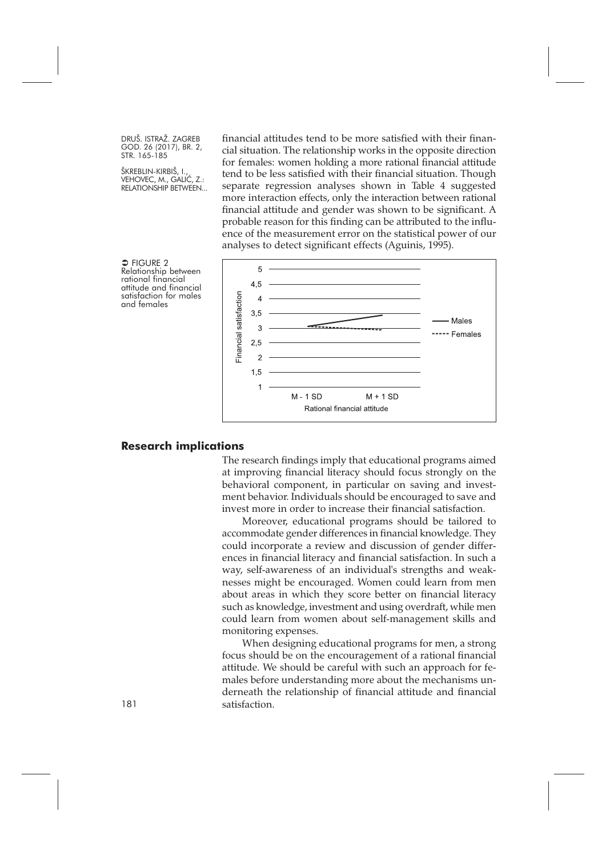ŠKREBLIN-KIRBIŠ, I., VEHOVEC, M., GALIĆ, Z.: RELATIONSHIP BETWEEN...

financial attitudes tend to be more satisfied with their financial situation. The relationship works in the opposite direction for females: women holding a more rational financial attitude tend to be less satisfied with their financial situation. Though separate regression analyses shown in Table 4 suggested more interaction effects, only the interaction between rational financial attitude and gender was shown to be significant. A probable reason for this finding can be attributed to the influence of the measurement error on the statistical power of our analyses to detect significant effects (Aguinis, 1995).



 $\supset$  FIGURE 2 Relationship between<br>rational financial<br>attitude and financial<br>satisfaction for males<br>and females

#### **Research implications**

The research findings imply that educational programs aimed at improving financial literacy should focus strongly on the behavioral component, in particular on saving and investment behavior. Individuals should be encouraged to save and invest more in order to increase their financial satisfaction.

Moreover, educational programs should be tailored to accommodate gender differences in financial knowledge. They could incorporate a review and discussion of gender differences in financial literacy and financial satisfaction. In such a way, self-awareness of an individual's strengths and weaknesses might be encouraged. Women could learn from men about areas in which they score better on financial literacy such as knowledge, investment and using overdraft, while men could learn from women about self-management skills and monitoring expenses.

When designing educational programs for men, a strong focus should be on the encouragement of a rational financial attitude. We should be careful with such an approach for females before understanding more about the mechanisms underneath the relationship of financial attitude and financial 181 satisfaction.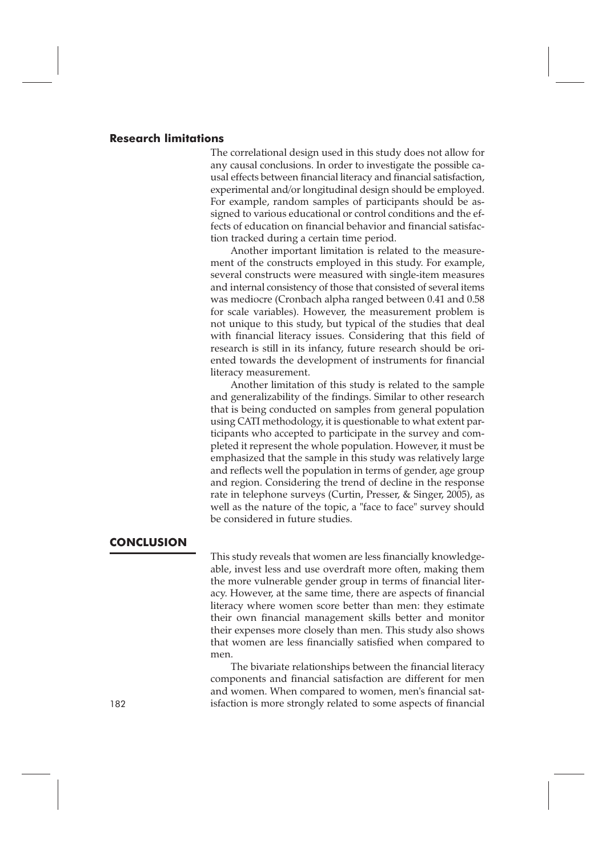#### **Research limitations**

The correlational design used in this study does not allow for any causal conclusions. In order to investigate the possible causal effects between financial literacy and financial satisfaction, experimental and/or longitudinal design should be employed. For example, random samples of participants should be assigned to various educational or control conditions and the effects of education on financial behavior and financial satisfaction tracked during a certain time period.

Another important limitation is related to the measurement of the constructs employed in this study. For example, several constructs were measured with single-item measures and internal consistency of those that consisted of several items was mediocre (Cronbach alpha ranged between 0.41 and 0.58 for scale variables). However, the measurement problem is not unique to this study, but typical of the studies that deal with financial literacy issues. Considering that this field of research is still in its infancy, future research should be oriented towards the development of instruments for financial literacy measurement.

Another limitation of this study is related to the sample and generalizability of the findings. Similar to other research that is being conducted on samples from general population using CATI methodology, it is questionable to what extent participants who accepted to participate in the survey and completed it represent the whole population. However, it must be emphasized that the sample in this study was relatively large and reflects well the population in terms of gender, age group and region. Considering the trend of decline in the response rate in telephone surveys (Curtin, Presser, & Singer, 2005), as well as the nature of the topic, a "face to face" survey should be considered in future studies.

# **CONCLUSION**

This study reveals that women are less financially knowledgeable, invest less and use overdraft more often, making them the more vulnerable gender group in terms of financial literacy. However, at the same time, there are aspects of financial literacy where women score better than men: they estimate their own financial management skills better and monitor their expenses more closely than men. This study also shows that women are less financially satisfied when compared to men.

The bivariate relationships between the financial literacy components and financial satisfaction are different for men and women. When compared to women, men's financial sat-182 isfaction is more strongly related to some aspects of financial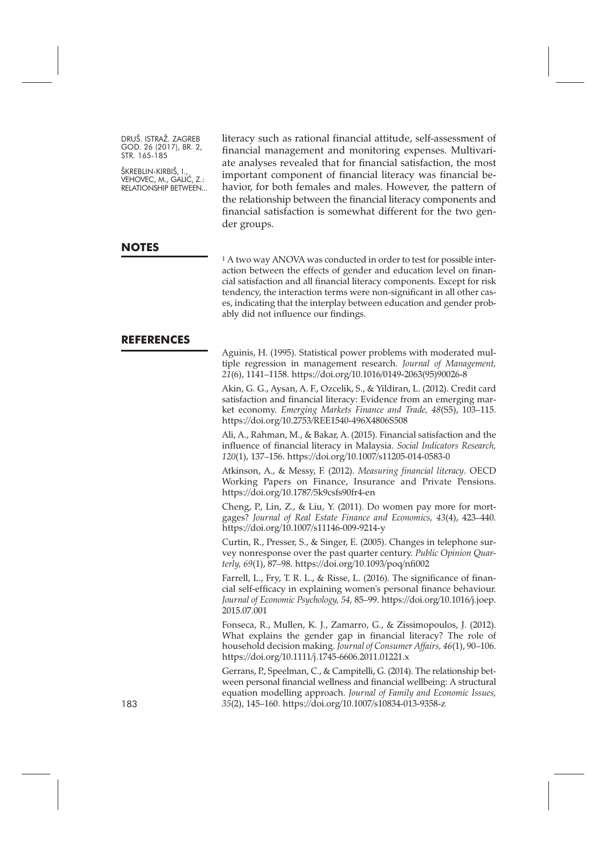ŠKREBLIN-KIRBIŠ, I., VEHOVEC, M., GALIĆ, Z.: RELATIONSHIP BETWEEN... literacy such as rational financial attitude, self-assessment of financial management and monitoring expenses. Multivariate analyses revealed that for financial satisfaction, the most important component of financial literacy was financial behavior, for both females and males. However, the pattern of the relationship between the financial literacy components and financial satisfaction is somewhat different for the two gender groups.

#### **NOTES**

1 A two way ANOVA was conducted in order to test for possible interaction between the effects of gender and education level on financial satisfaction and all financial literacy components. Except for risk tendency, the interaction terms were non-significant in all other cases, indicating that the interplay between education and gender probably did not influence our findings.

#### **REFERENCES**

Aguinis, H. (1995). Statistical power problems with moderated multiple regression in management research. *Journal of Management, 21*(6), 1141–1158. [https://doi.org/10.1016/0149-2063\(95\)90026-8](https://doi.org/10.1016/0149-2063(95)90026-8)

Akin, G. G., Aysan, A. F., Ozcelik, S., & Yildiran, L. (2012). Credit card satisfaction and financial literacy: Evidence from an emerging market economy. *Emerging Markets Finance and Trade, 48*(S5), 103–115. <https://doi.org/10.2753/REE1540-496X4806S508>

Ali, A., Rahman, M., & Bakar, A. (2015). Financial satisfaction and the influence of financial literacy in Malaysia. *Social Indicators Research, 120*(1), 137–156. <https://doi.org/10.1007/s11205-014-0583-0>

Atkinson, A., & Messy, F. (2012). *Measuring financial literacy*. OECD Working Papers on Finance, Insurance and Private Pensions. <https://doi.org/10.1787/5k9csfs90fr4-en>

Cheng, P., Lin, Z., & Liu, Y. (2011). Do women pay more for mortgages? *Journal of Real Estate Finance and Economics, 43*(4), 423–440. <https://doi.org/10.1007/s11146-009-9214-y>

Curtin, R., Presser, S., & Singer, E. (2005). Changes in telephone survey nonresponse over the past quarter century. *Public Opinion Quarterly, 69*(1), 87–98. <https://doi.org/10.1093/poq/nfi002>

Farrell, L., Fry, T. R. L., & Risse, L. (2016). The significance of financial self-efficacy in explaining women's personal finance behaviour. *Journal of Economic Psychology, 54,* 85–99. [https://doi.org/10.1016/j.joep.](https://doi.org/10.1016/j.joep.2015.07.001) [2015.07.001](https://doi.org/10.1016/j.joep.2015.07.001)

Fonseca, R., Mullen, K. J., Zamarro, G., & Zissimopoulos, J. (2012). What explains the gender gap in financial literacy? The role of household decision making. *Journal of Consumer Affairs, 46*(1), 90–106. <https://doi.org/10.1111/j.1745-6606.2011.01221.x>

Gerrans, P., Speelman, C., & Campitelli, G. (2014). The relationship between personal financial wellness and financial wellbeing: A structural equation modelling approach. *Journal of Family and Economic Issues,* 183 *35*(2), 145–160. <https://doi.org/10.1007/s10834-013-9358-z>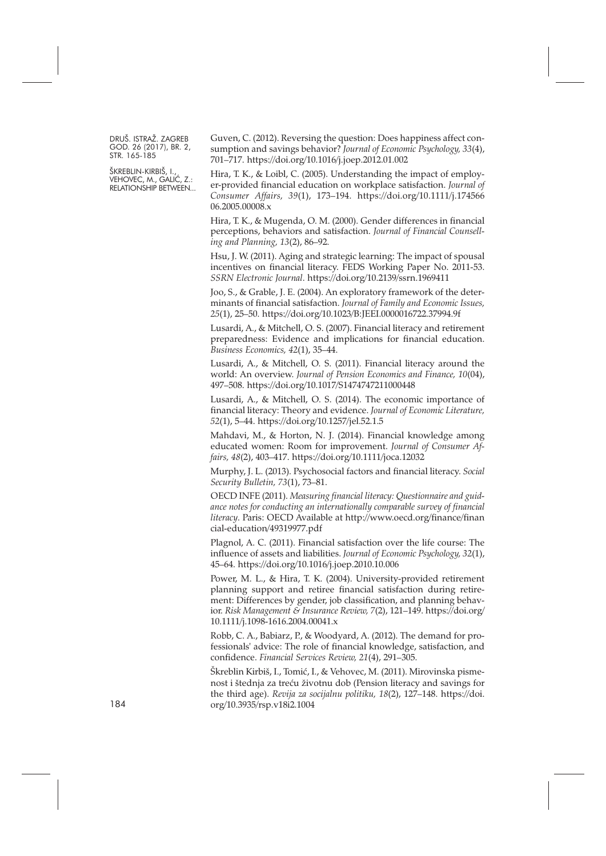ŠKREBLIN-KIRBIŠ, I., VEHOVEC, M., GALIĆ, Z.: RELATIONSHIP BETWEEN... Guven, C. (2012). Reversing the question: Does happiness affect consumption and savings behavior? *Journal of Economic Psychology, 33*(4), 701–717. <https://doi.org/10.1016/j.joep.2012.01.002>

Hira, T. K., & Loibl, C. (2005). Understanding the impact of employer-provided financial education on workplace satisfaction. *Journal of Consumer Affairs, 39*(1), 173–194. [https://doi.org/10.1111/j.174566](https://doi.org/10.1111/j.1745-6606.2005.00008.x) [06.2005.00008.x](https://doi.org/10.1111/j.1745-6606.2005.00008.x)

Hira, T. K., & Mugenda, O. M. (2000). Gender differences in financial perceptions, behaviors and satisfaction. *Journal of Financial Counselling and Planning, 13*(2), 86–92.

Hsu, J. W. (2011). Aging and strategic learning: The impact of spousal incentives on financial literacy. FEDS Working Paper No. 2011-53. *SSRN Electronic Journal*. <https://doi.org/10.2139/ssrn.1969411>

Joo, S., & Grable, J. E. (2004). An exploratory framework of the determinants of financial satisfaction. *Journal of Family and Economic Issues, 25*(1), 25–50. <https://doi.org/10.1023/B:JEEI.0000016722.37994.9f>

Lusardi, A., & Mitchell, O. S. (2007). Financial literacy and retirement preparedness: Evidence and implications for financial education. *Business Economics, 42*(1), 35–44.

Lusardi, A., & Mitchell, O. S. (2011). Financial literacy around the world: An overview. *Journal of Pension Economics and Finance, 10*(04), 497–508. <https://doi.org/10.1017/S1474747211000448>

Lusardi, A., & Mitchell, O. S. (2014). The economic importance of financial literacy: Theory and evidence. *Journal of Economic Literature, 52*(1), 5–44. <https://doi.org/10.1257/jel.52.1.5>

Mahdavi, M., & Horton, N. J. (2014). Financial knowledge among educated women: Room for improvement. *Journal of Consumer Affairs, 48*(2), 403–417. <https://doi.org/10.1111/joca.12032>

Murphy, J. L. (2013). Psychosocial factors and financial literacy. *Social Security Bulletin, 73*(1), 73–81.

OECD INFE (2011). *Measuring financial literacy: Questionnaire and guidance notes for conducting an internationally comparable survey of financial literacy*. Paris: OECD Available at [http://www.oecd.org/finance/finan](http://www.oecd.org/finance/financial-education/49319977.pdf) [cial-education/49319977.pdf](http://www.oecd.org/finance/financial-education/49319977.pdf)

Plagnol, A. C. (2011). Financial satisfaction over the life course: The influence of assets and liabilities. *Journal of Economic Psychology, 32*(1), 45–64. <https://doi.org/10.1016/j.joep.2010.10.006>

Power, M. L., & Hira, T. K. (2004). University-provided retirement planning support and retiree financial satisfaction during retirement: Differences by gender, job classification, and planning behavior. *Risk Management & Insurance Review, 7*(2), 121–149. [https://doi.org/](https://doi.org/10.1111/j.1098-1616.2004.00041.x) [10.1111/j.1098-1616.2004.00041.x](https://doi.org/10.1111/j.1098-1616.2004.00041.x)

Robb, C. A., Babiarz, P., & Woodyard, A. (2012). The demand for professionals' advice: The role of financial knowledge, satisfaction, and confidence. *Financial Services Review, 21*(4), 291–305.

Škreblin Kirbiš, I., Tomić, I., & Vehovec, M. (2011). Mirovinska pismenost i štednja za treću životnu dob (Pension literacy and savings for the third age). *Revija za socijalnu politiku, 18*(2), 127–148. [https://doi.](https://doi.org/10.3935/rsp.v18i2.1004) [org/10.3935/rsp.v18i2.1004](https://doi.org/10.3935/rsp.v18i2.1004)